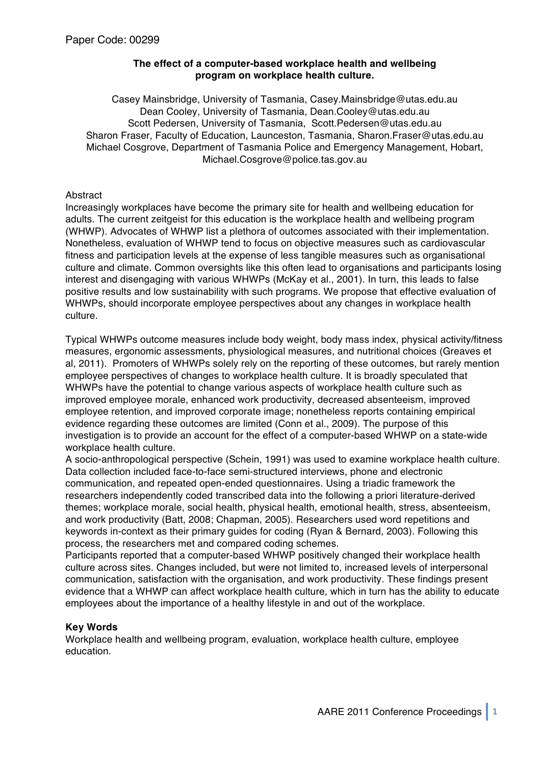# **The effect of a computer-based workplace health and wellbeing program on workplace health culture.**

Casey Mainsbridge, University of Tasmania, Casey.Mainsbridge@utas.edu.au Dean Cooley, University of Tasmania, Dean.Cooley@utas.edu.au Scott Pedersen, University of Tasmania, Scott.Pedersen@utas.edu.au Sharon Fraser, Faculty of Education, Launceston, Tasmania, Sharon.Fraser@utas.edu.au Michael Cosgrove, Department of Tasmania Police and Emergency Management, Hobart, Michael.Cosgrove@police.tas.gov.au

# **Abstract**

Increasingly workplaces have become the primary site for health and wellbeing education for adults. The current zeitgeist for this education is the workplace health and wellbeing program (WHWP). Advocates of WHWP list a plethora of outcomes associated with their implementation. Nonetheless, evaluation of WHWP tend to focus on objective measures such as cardiovascular fitness and participation levels at the expense of less tangible measures such as organisational culture and climate. Common oversights like this often lead to organisations and participants losing interest and disengaging with various WHWPs (McKay et al., 2001). In turn, this leads to false positive results and low sustainability with such programs. We propose that effective evaluation of WHWPs, should incorporate employee perspectives about any changes in workplace health culture.

Typical WHWPs outcome measures include body weight, body mass index, physical activity/fitness measures, ergonomic assessments, physiological measures, and nutritional choices (Greaves et al, 2011). Promoters of WHWPs solely rely on the reporting of these outcomes, but rarely mention employee perspectives of changes to workplace health culture. It is broadly speculated that WHWPs have the potential to change various aspects of workplace health culture such as improved employee morale, enhanced work productivity, decreased absenteeism, improved employee retention, and improved corporate image; nonetheless reports containing empirical evidence regarding these outcomes are limited (Conn et al., 2009). The purpose of this investigation is to provide an account for the effect of a computer-based WHWP on a state-wide workplace health culture.

A socio-anthropological perspective (Schein, 1991) was used to examine workplace health culture. Data collection included face-to-face semi-structured interviews, phone and electronic communication, and repeated open-ended questionnaires. Using a triadic framework the researchers independently coded transcribed data into the following a priori literature-derived themes; workplace morale, social health, physical health, emotional health, stress, absenteeism, and work productivity (Batt, 2008; Chapman, 2005). Researchers used word repetitions and keywords in-context as their primary guides for coding (Ryan & Bernard, 2003). Following this process, the researchers met and compared coding schemes.

Participants reported that a computer-based WHWP positively changed their workplace health culture across sites. Changes included, but were not limited to, increased levels of interpersonal communication, satisfaction with the organisation, and work productivity. These findings present evidence that a WHWP can affect workplace health culture, which in turn has the ability to educate employees about the importance of a healthy lifestyle in and out of the workplace.

# **Key Words**

Workplace health and wellbeing program, evaluation, workplace health culture, employee education.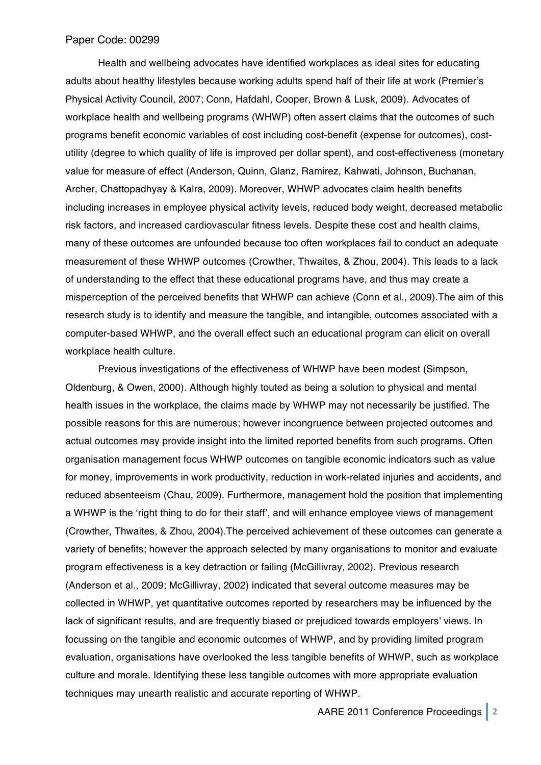Health and wellbeing advocates have identified workplaces as ideal sites for educating adults about healthy lifestyles because working adults spend half of their life at work (Premier's Physical Activity Council, 2007; Conn, Hafdahl, Cooper, Brown & Lusk, 2009). Advocates of workplace health and wellbeing programs (WHWP) often assert claims that the outcomes of such programs benefit economic variables of cost including cost-benefit (expense for outcomes), costutility (degree to which quality of life is improved per dollar spent), and cost-effectiveness (monetary value for measure of effect (Anderson, Quinn, Glanz, Ramirez, Kahwati, Johnson, Buchanan, Archer, Chattopadhyay & Kalra, 2009). Moreover, WHWP advocates claim health benefits including increases in employee physical activity levels, reduced body weight, decreased metabolic risk factors, and increased cardiovascular fitness levels. Despite these cost and health claims, many of these outcomes are unfounded because too often workplaces fail to conduct an adequate measurement of these WHWP outcomes (Crowther, Thwaites, & Zhou, 2004). This leads to a lack of understanding to the effect that these educational programs have, and thus may create a misperception of the perceived benefits that WHWP can achieve (Conn et al., 2009).The aim of this research study is to identify and measure the tangible, and intangible, outcomes associated with a computer-based WHWP, and the overall effect such an educational program can elicit on overall workplace health culture.

Previous investigations of the effectiveness of WHWP have been modest (Simpson, Oldenburg, & Owen, 2000). Although highly touted as being a solution to physical and mental health issues in the workplace, the claims made by WHWP may not necessarily be justified. The possible reasons for this are numerous; however incongruence between projected outcomes and actual outcomes may provide insight into the limited reported benefits from such programs. Often organisation management focus WHWP outcomes on tangible economic indicators such as value for money, improvements in work productivity, reduction in work-related injuries and accidents, and reduced absenteeism (Chau, 2009). Furthermore, management hold the position that implementing a WHWP is the ʻright thing to do for their staff', and will enhance employee views of management (Crowther, Thwaites, & Zhou, 2004).The perceived achievement of these outcomes can generate a variety of benefits; however the approach selected by many organisations to monitor and evaluate program effectiveness is a key detraction or failing (McGillivray, 2002). Previous research (Anderson et al., 2009; McGillivray, 2002) indicated that several outcome measures may be collected in WHWP, yet quantitative outcomes reported by researchers may be influenced by the lack of significant results, and are frequently biased or prejudiced towards employers' views. In focussing on the tangible and economic outcomes of WHWP, and by providing limited program evaluation, organisations have overlooked the less tangible benefits of WHWP, such as workplace culture and morale. Identifying these less tangible outcomes with more appropriate evaluation techniques may unearth realistic and accurate reporting of WHWP.

AARE 2011 Conference Proceedings **2**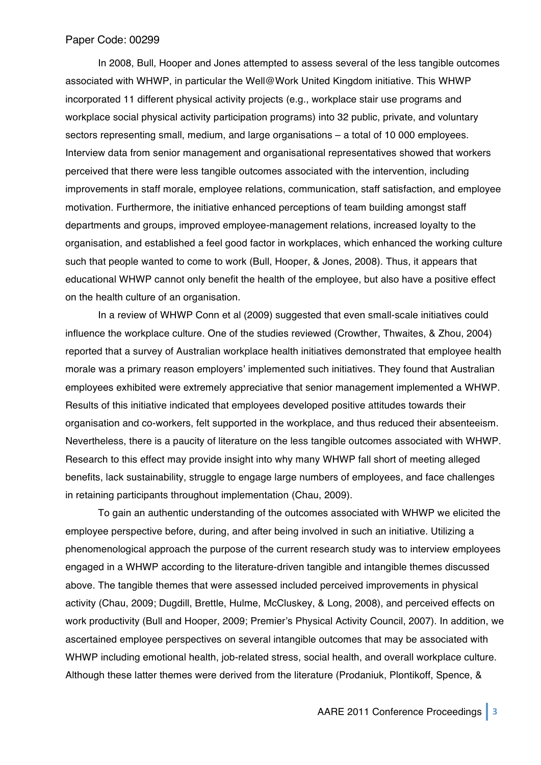In 2008, Bull, Hooper and Jones attempted to assess several of the less tangible outcomes associated with WHWP, in particular the Well@Work United Kingdom initiative. This WHWP incorporated 11 different physical activity projects (e.g., workplace stair use programs and workplace social physical activity participation programs) into 32 public, private, and voluntary sectors representing small, medium, and large organisations – a total of 10 000 employees. Interview data from senior management and organisational representatives showed that workers perceived that there were less tangible outcomes associated with the intervention, including improvements in staff morale, employee relations, communication, staff satisfaction, and employee motivation. Furthermore, the initiative enhanced perceptions of team building amongst staff departments and groups, improved employee-management relations, increased loyalty to the organisation, and established a feel good factor in workplaces, which enhanced the working culture such that people wanted to come to work (Bull, Hooper, & Jones, 2008). Thus, it appears that educational WHWP cannot only benefit the health of the employee, but also have a positive effect on the health culture of an organisation.

In a review of WHWP Conn et al (2009) suggested that even small-scale initiatives could influence the workplace culture. One of the studies reviewed (Crowther, Thwaites, & Zhou, 2004) reported that a survey of Australian workplace health initiatives demonstrated that employee health morale was a primary reason employers' implemented such initiatives. They found that Australian employees exhibited were extremely appreciative that senior management implemented a WHWP. Results of this initiative indicated that employees developed positive attitudes towards their organisation and co-workers, felt supported in the workplace, and thus reduced their absenteeism. Nevertheless, there is a paucity of literature on the less tangible outcomes associated with WHWP. Research to this effect may provide insight into why many WHWP fall short of meeting alleged benefits, lack sustainability, struggle to engage large numbers of employees, and face challenges in retaining participants throughout implementation (Chau, 2009).

To gain an authentic understanding of the outcomes associated with WHWP we elicited the employee perspective before, during, and after being involved in such an initiative. Utilizing a phenomenological approach the purpose of the current research study was to interview employees engaged in a WHWP according to the literature-driven tangible and intangible themes discussed above. The tangible themes that were assessed included perceived improvements in physical activity (Chau, 2009; Dugdill, Brettle, Hulme, McCluskey, & Long, 2008), and perceived effects on work productivity (Bull and Hooper, 2009; Premier's Physical Activity Council, 2007). In addition, we ascertained employee perspectives on several intangible outcomes that may be associated with WHWP including emotional health, job-related stress, social health, and overall workplace culture. Although these latter themes were derived from the literature (Prodaniuk, Plontikoff, Spence, &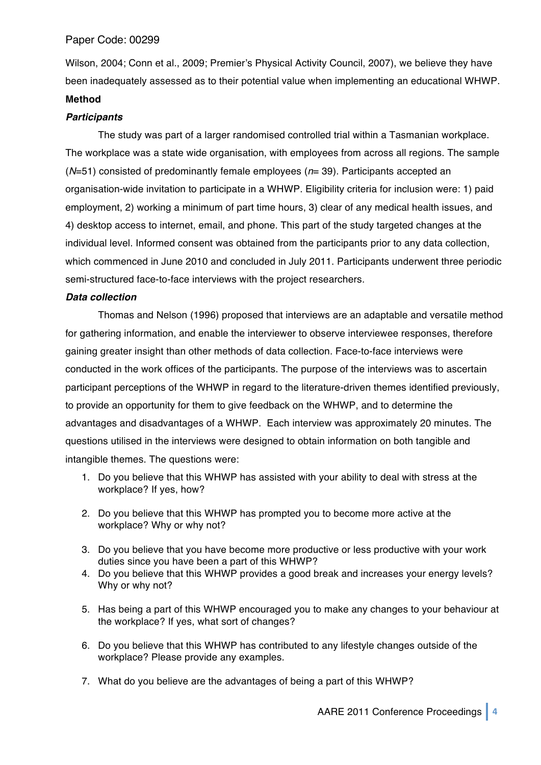Wilson, 2004; Conn et al., 2009; Premier's Physical Activity Council, 2007), we believe they have been inadequately assessed as to their potential value when implementing an educational WHWP. **Method**

## *Participants*

The study was part of a larger randomised controlled trial within a Tasmanian workplace. The workplace was a state wide organisation, with employees from across all regions. The sample (*N*=51) consisted of predominantly female employees (*n*= 39). Participants accepted an organisation-wide invitation to participate in a WHWP. Eligibility criteria for inclusion were: 1) paid employment, 2) working a minimum of part time hours, 3) clear of any medical health issues, and 4) desktop access to internet, email, and phone. This part of the study targeted changes at the individual level. Informed consent was obtained from the participants prior to any data collection, which commenced in June 2010 and concluded in July 2011. Participants underwent three periodic semi-structured face-to-face interviews with the project researchers.

## *Data collection*

Thomas and Nelson (1996) proposed that interviews are an adaptable and versatile method for gathering information, and enable the interviewer to observe interviewee responses, therefore gaining greater insight than other methods of data collection. Face-to-face interviews were conducted in the work offices of the participants. The purpose of the interviews was to ascertain participant perceptions of the WHWP in regard to the literature-driven themes identified previously, to provide an opportunity for them to give feedback on the WHWP, and to determine the advantages and disadvantages of a WHWP. Each interview was approximately 20 minutes. The questions utilised in the interviews were designed to obtain information on both tangible and intangible themes. The questions were:

- 1. Do you believe that this WHWP has assisted with your ability to deal with stress at the workplace? If yes, how?
- 2. Do you believe that this WHWP has prompted you to become more active at the workplace? Why or why not?
- 3. Do you believe that you have become more productive or less productive with your work duties since you have been a part of this WHWP?
- 4. Do you believe that this WHWP provides a good break and increases your energy levels? Why or why not?
- 5. Has being a part of this WHWP encouraged you to make any changes to your behaviour at the workplace? If yes, what sort of changes?
- 6. Do you believe that this WHWP has contributed to any lifestyle changes outside of the workplace? Please provide any examples.
- 7. What do you believe are the advantages of being a part of this WHWP?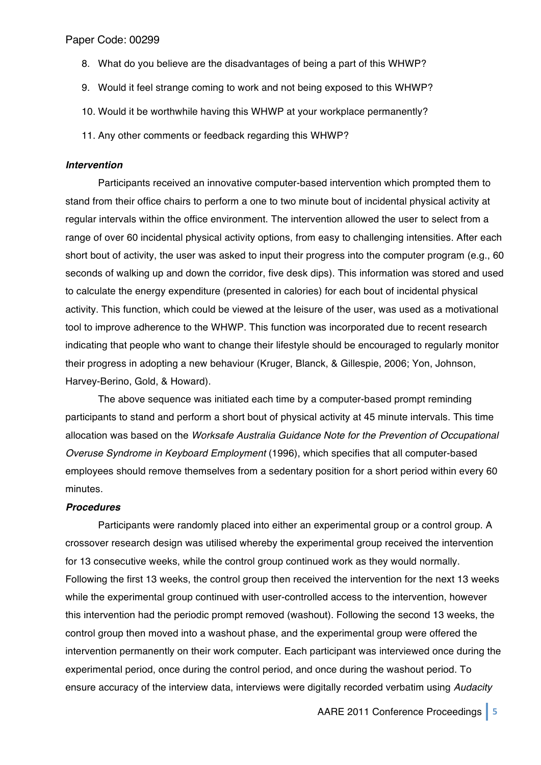- 8. What do you believe are the disadvantages of being a part of this WHWP?
- 9. Would it feel strange coming to work and not being exposed to this WHWP?
- 10. Would it be worthwhile having this WHWP at your workplace permanently?
- 11. Any other comments or feedback regarding this WHWP?

#### *Intervention*

Participants received an innovative computer-based intervention which prompted them to stand from their office chairs to perform a one to two minute bout of incidental physical activity at regular intervals within the office environment. The intervention allowed the user to select from a range of over 60 incidental physical activity options, from easy to challenging intensities. After each short bout of activity, the user was asked to input their progress into the computer program (e.g., 60 seconds of walking up and down the corridor, five desk dips). This information was stored and used to calculate the energy expenditure (presented in calories) for each bout of incidental physical activity. This function, which could be viewed at the leisure of the user, was used as a motivational tool to improve adherence to the WHWP. This function was incorporated due to recent research indicating that people who want to change their lifestyle should be encouraged to regularly monitor their progress in adopting a new behaviour (Kruger, Blanck, & Gillespie, 2006; Yon, Johnson, Harvey-Berino, Gold, & Howard).

The above sequence was initiated each time by a computer-based prompt reminding participants to stand and perform a short bout of physical activity at 45 minute intervals. This time allocation was based on the *Worksafe Australia Guidance Note for the Prevention of Occupational Overuse Syndrome in Keyboard Employment* (1996), which specifies that all computer-based employees should remove themselves from a sedentary position for a short period within every 60 minutes.

#### *Procedures*

Participants were randomly placed into either an experimental group or a control group. A crossover research design was utilised whereby the experimental group received the intervention for 13 consecutive weeks, while the control group continued work as they would normally. Following the first 13 weeks, the control group then received the intervention for the next 13 weeks while the experimental group continued with user-controlled access to the intervention, however this intervention had the periodic prompt removed (washout). Following the second 13 weeks, the control group then moved into a washout phase, and the experimental group were offered the intervention permanently on their work computer. Each participant was interviewed once during the experimental period, once during the control period, and once during the washout period. To ensure accuracy of the interview data, interviews were digitally recorded verbatim using *Audacity* 

AARE 2011 Conference Proceedings **5**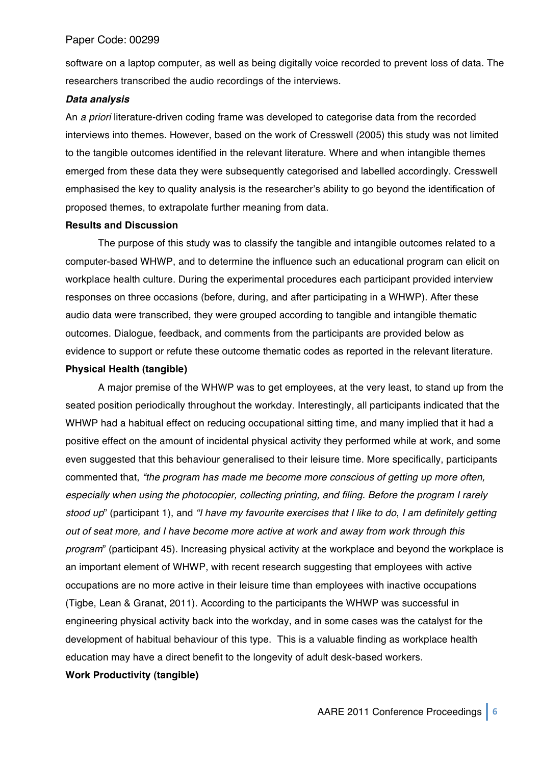software on a laptop computer, as well as being digitally voice recorded to prevent loss of data. The researchers transcribed the audio recordings of the interviews.

#### *Data analysis*

An *a priori* literature-driven coding frame was developed to categorise data from the recorded interviews into themes. However, based on the work of Cresswell (2005) this study was not limited to the tangible outcomes identified in the relevant literature. Where and when intangible themes emerged from these data they were subsequently categorised and labelled accordingly. Cresswell emphasised the key to quality analysis is the researcher's ability to go beyond the identification of proposed themes, to extrapolate further meaning from data.

## **Results and Discussion**

The purpose of this study was to classify the tangible and intangible outcomes related to a computer-based WHWP, and to determine the influence such an educational program can elicit on workplace health culture. During the experimental procedures each participant provided interview responses on three occasions (before, during, and after participating in a WHWP). After these audio data were transcribed, they were grouped according to tangible and intangible thematic outcomes. Dialogue, feedback, and comments from the participants are provided below as evidence to support or refute these outcome thematic codes as reported in the relevant literature.

#### **Physical Health (tangible)**

A major premise of the WHWP was to get employees, at the very least, to stand up from the seated position periodically throughout the workday. Interestingly, all participants indicated that the WHWP had a habitual effect on reducing occupational sitting time, and many implied that it had a positive effect on the amount of incidental physical activity they performed while at work, and some even suggested that this behaviour generalised to their leisure time. More specifically, participants commented that, *"the program has made me become more conscious of getting up more often, especially when using the photocopier, collecting printing, and filing. Before the program I rarely stood up*" (participant 1), and *"I have my favourite exercises that I like to do*, *I am definitely getting out of seat more, and I have become more active at work and away from work through this program*" (participant 45). Increasing physical activity at the workplace and beyond the workplace is an important element of WHWP, with recent research suggesting that employees with active occupations are no more active in their leisure time than employees with inactive occupations (Tigbe, Lean & Granat, 2011). According to the participants the WHWP was successful in engineering physical activity back into the workday, and in some cases was the catalyst for the development of habitual behaviour of this type. This is a valuable finding as workplace health education may have a direct benefit to the longevity of adult desk-based workers.

## **Work Productivity (tangible)**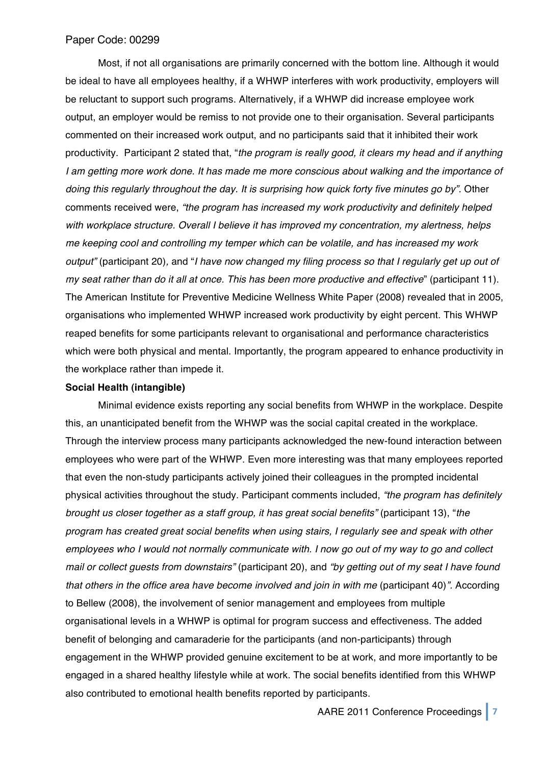Most, if not all organisations are primarily concerned with the bottom line. Although it would be ideal to have all employees healthy, if a WHWP interferes with work productivity, employers will be reluctant to support such programs. Alternatively, if a WHWP did increase employee work output, an employer would be remiss to not provide one to their organisation. Several participants commented on their increased work output, and no participants said that it inhibited their work productivity. Participant 2 stated that, "*the program is really good, it clears my head and if anything I am getting more work done. It has made me more conscious about walking and the importance of doing this regularly throughout the day. It is surprising how quick forty five minutes go by".* Other comments received were, *"the program has increased my work productivity and definitely helped with workplace structure. Overall I believe it has improved my concentration, my alertness, helps me keeping cool and controlling my temper which can be volatile, and has increased my work output"* (participant 20)*,* and "*I have now changed my filing process so that I regularly get up out of my seat rather than do it all at once. This has been more productive and effective*" (participant 11). The American Institute for Preventive Medicine Wellness White Paper (2008) revealed that in 2005, organisations who implemented WHWP increased work productivity by eight percent. This WHWP reaped benefits for some participants relevant to organisational and performance characteristics which were both physical and mental. Importantly, the program appeared to enhance productivity in the workplace rather than impede it.

## **Social Health (intangible)**

Minimal evidence exists reporting any social benefits from WHWP in the workplace. Despite this, an unanticipated benefit from the WHWP was the social capital created in the workplace. Through the interview process many participants acknowledged the new-found interaction between employees who were part of the WHWP. Even more interesting was that many employees reported that even the non-study participants actively joined their colleagues in the prompted incidental physical activities throughout the study. Participant comments included, *"the program has definitely brought us closer together as a staff group, it has great social benefits"* (participant 13), "*the program has created great social benefits when using stairs, I regularly see and speak with other employees who I would not normally communicate with. I now go out of my way to go and collect mail or collect guests from downstairs"* (participant 20), and *"by getting out of my seat I have found that others in the office area have become involved and join in with me (participant 40)". According* to Bellew (2008), the involvement of senior management and employees from multiple organisational levels in a WHWP is optimal for program success and effectiveness. The added benefit of belonging and camaraderie for the participants (and non-participants) through engagement in the WHWP provided genuine excitement to be at work, and more importantly to be engaged in a shared healthy lifestyle while at work. The social benefits identified from this WHWP also contributed to emotional health benefits reported by participants.

AARE 2011 Conference Proceedings **7**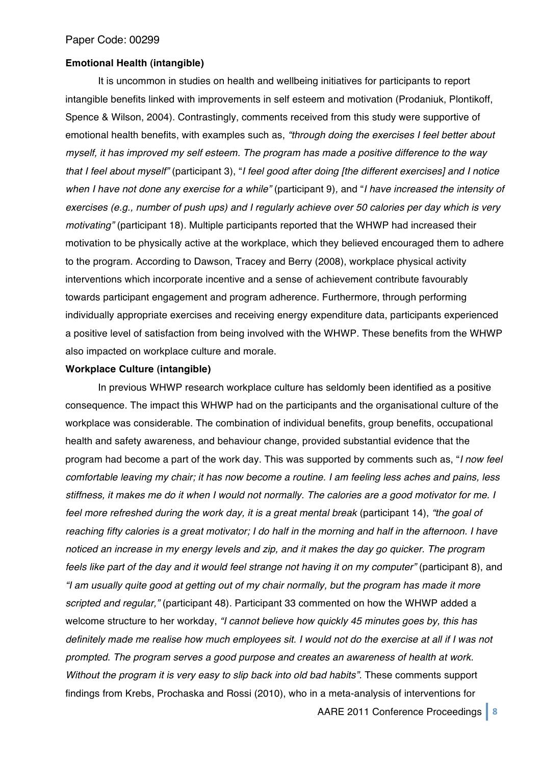#### **Emotional Health (intangible)**

It is uncommon in studies on health and wellbeing initiatives for participants to report intangible benefits linked with improvements in self esteem and motivation (Prodaniuk, Plontikoff, Spence & Wilson, 2004). Contrastingly, comments received from this study were supportive of emotional health benefits, with examples such as, *"through doing the exercises I feel better about myself, it has improved my self esteem. The program has made a positive difference to the way that I feel about myself"* (participant 3), "*I feel good after doing [the different exercises] and I notice when I have not done any exercise for a while"* (participant 9)*,* and "*I have increased the intensity of exercises (e.g., number of push ups) and I regularly achieve over 50 calories per day which is very motivating"* (participant 18)*.* Multiple participants reported that the WHWP had increased their motivation to be physically active at the workplace, which they believed encouraged them to adhere to the program. According to Dawson, Tracey and Berry (2008), workplace physical activity interventions which incorporate incentive and a sense of achievement contribute favourably towards participant engagement and program adherence. Furthermore, through performing individually appropriate exercises and receiving energy expenditure data, participants experienced a positive level of satisfaction from being involved with the WHWP. These benefits from the WHWP also impacted on workplace culture and morale.

#### **Workplace Culture (intangible)**

In previous WHWP research workplace culture has seldomly been identified as a positive consequence. The impact this WHWP had on the participants and the organisational culture of the workplace was considerable. The combination of individual benefits, group benefits, occupational health and safety awareness, and behaviour change, provided substantial evidence that the program had become a part of the work day. This was supported by comments such as, "*I now feel comfortable leaving my chair; it has now become a routine. I am feeling less aches and pains, less stiffness, it makes me do it when I would not normally. The calories are a good motivator for me. I feel more refreshed during the work day, it is a great mental break* (participant 14), *"the goal of reaching fifty calories is a great motivator; I do half in the morning and half in the afternoon. I have noticed an increase in my energy levels and zip, and it makes the day go quicker. The program feels like part of the day and it would feel strange not having it on my computer"* (participant 8), and *"I am usually quite good at getting out of my chair normally, but the program has made it more scripted and regular,"* (participant 48)*.* Participant 33 commented on how the WHWP added a welcome structure to her workday, *"I cannot believe how quickly 45 minutes goes by, this has definitely made me realise how much employees sit. I would not do the exercise at all if I was not prompted. The program serves a good purpose and creates an awareness of health at work. Without the program it is very easy to slip back into old bad habits".* These comments support findings from Krebs, Prochaska and Rossi (2010), who in a meta-analysis of interventions for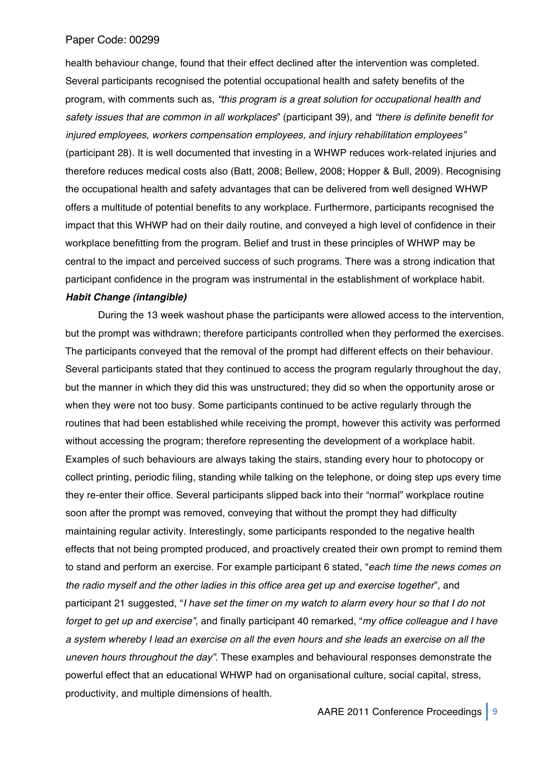health behaviour change, found that their effect declined after the intervention was completed*.*  Several participants recognised the potential occupational health and safety benefits of the program, with comments such as, *"this program is a great solution for occupational health and safety issues that are common in all workplaces*" (participant 39), and *"there is definite benefit for injured employees, workers compensation employees, and injury rehabilitation employees"* (participant 28)*.* It is well documented that investing in a WHWP reduces work-related injuries and therefore reduces medical costs also (Batt, 2008; Bellew, 2008; Hopper & Bull, 2009). Recognising the occupational health and safety advantages that can be delivered from well designed WHWP offers a multitude of potential benefits to any workplace. Furthermore, participants recognised the impact that this WHWP had on their daily routine, and conveyed a high level of confidence in their workplace benefitting from the program. Belief and trust in these principles of WHWP may be central to the impact and perceived success of such programs. There was a strong indication that participant confidence in the program was instrumental in the establishment of workplace habit.

#### *Habit Change (intangible)*

During the 13 week washout phase the participants were allowed access to the intervention, but the prompt was withdrawn; therefore participants controlled when they performed the exercises. The participants conveyed that the removal of the prompt had different effects on their behaviour. Several participants stated that they continued to access the program regularly throughout the day, but the manner in which they did this was unstructured; they did so when the opportunity arose or when they were not too busy. Some participants continued to be active regularly through the routines that had been established while receiving the prompt, however this activity was performed without accessing the program; therefore representing the development of a workplace habit. Examples of such behaviours are always taking the stairs, standing every hour to photocopy or collect printing, periodic filing, standing while talking on the telephone, or doing step ups every time they re-enter their office. Several participants slipped back into their "normal" workplace routine soon after the prompt was removed, conveying that without the prompt they had difficulty maintaining regular activity. Interestingly, some participants responded to the negative health effects that not being prompted produced, and proactively created their own prompt to remind them to stand and perform an exercise. For example participant 6 stated, "*each time the news comes on the radio myself and the other ladies in this office area get up and exercise together*", and participant 21 suggested, "*I have set the timer on my watch to alarm every hour so that I do not forget to get up and exercise",* and finally participant 40 remarked, "*my office colleague and I have a system whereby I lead an exercise on all the even hours and she leads an exercise on all the uneven hours throughout the day".* These examples and behavioural responses demonstrate the powerful effect that an educational WHWP had on organisational culture, social capital, stress, productivity, and multiple dimensions of health.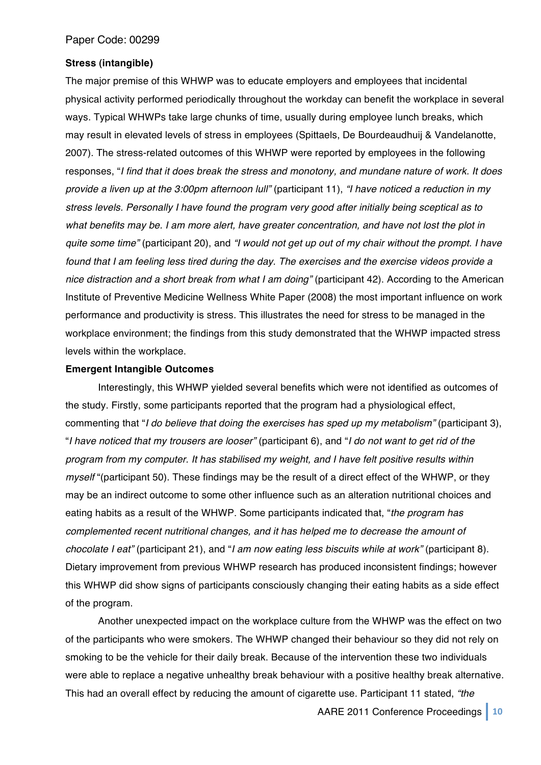#### **Stress (intangible)**

The major premise of this WHWP was to educate employers and employees that incidental physical activity performed periodically throughout the workday can benefit the workplace in several ways. Typical WHWPs take large chunks of time, usually during employee lunch breaks, which may result in elevated levels of stress in employees (Spittaels, De Bourdeaudhuij & Vandelanotte, 2007). The stress-related outcomes of this WHWP were reported by employees in the following responses, "*I find that it does break the stress and monotony, and mundane nature of work. It does provide a liven up at the 3:00pm afternoon lull"* (participant 11), *"I have noticed a reduction in my stress levels. Personally I have found the program very good after initially being sceptical as to what benefits may be. I am more alert, have greater concentration, and have not lost the plot in quite some time"* (participant 20), and *"I would not get up out of my chair without the prompt. I have found that I am feeling less tired during the day. The exercises and the exercise videos provide a nice distraction and a short break from what I am doing"* (participant 42). According to the American Institute of Preventive Medicine Wellness White Paper (2008) the most important influence on work performance and productivity is stress. This illustrates the need for stress to be managed in the workplace environment; the findings from this study demonstrated that the WHWP impacted stress levels within the workplace.

#### **Emergent Intangible Outcomes**

Interestingly, this WHWP yielded several benefits which were not identified as outcomes of the study. Firstly, some participants reported that the program had a physiological effect, commenting that "*I do believe that doing the exercises has sped up my metabolism"* (participant 3), "*I have noticed that my trousers are looser"* (participant 6), and "*I do not want to get rid of the program from my computer. It has stabilised my weight, and I have felt positive results within myself* "(participant 50). These findings may be the result of a direct effect of the WHWP, or they may be an indirect outcome to some other influence such as an alteration nutritional choices and eating habits as a result of the WHWP. Some participants indicated that, "*the program has complemented recent nutritional changes, and it has helped me to decrease the amount of chocolate I eat"* (participant 21), and "*I am now eating less biscuits while at work"* (participant 8). Dietary improvement from previous WHWP research has produced inconsistent findings; however this WHWP did show signs of participants consciously changing their eating habits as a side effect of the program.

Another unexpected impact on the workplace culture from the WHWP was the effect on two of the participants who were smokers. The WHWP changed their behaviour so they did not rely on smoking to be the vehicle for their daily break. Because of the intervention these two individuals were able to replace a negative unhealthy break behaviour with a positive healthy break alternative. This had an overall effect by reducing the amount of cigarette use. Participant 11 stated, *"the*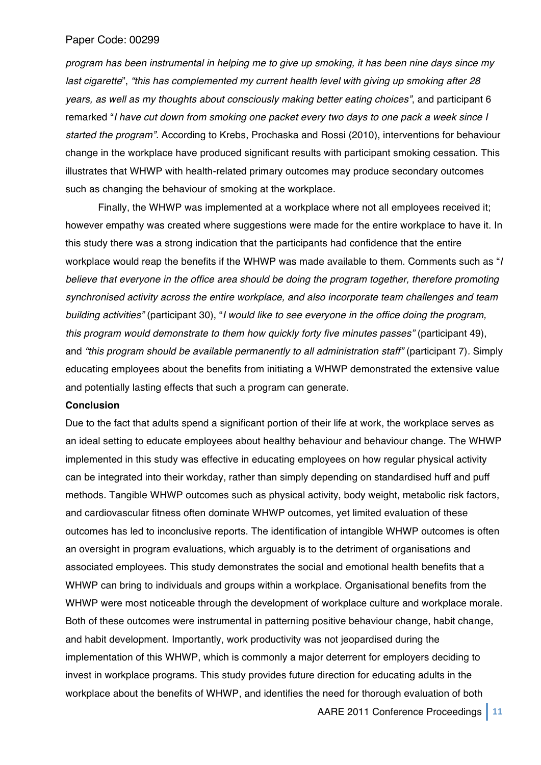*program has been instrumental in helping me to give up smoking, it has been nine days since my last cigarette*", *"this has complemented my current health level with giving up smoking after 28 years, as well as my thoughts about consciously making better eating choices"*, and participant 6 remarked "*I have cut down from smoking one packet every two days to one pack a week since I started the program".* According to Krebs, Prochaska and Rossi (2010), interventions for behaviour change in the workplace have produced significant results with participant smoking cessation. This illustrates that WHWP with health-related primary outcomes may produce secondary outcomes such as changing the behaviour of smoking at the workplace.

Finally, the WHWP was implemented at a workplace where not all employees received it; however empathy was created where suggestions were made for the entire workplace to have it. In this study there was a strong indication that the participants had confidence that the entire workplace would reap the benefits if the WHWP was made available to them. Comments such as "*I believe that everyone in the office area should be doing the program together, therefore promoting synchronised activity across the entire workplace, and also incorporate team challenges and team building activities"* (participant 30), "*I would like to see everyone in the office doing the program, this program would demonstrate to them how quickly forty five minutes passes"* (participant 49), and *"this program should be available permanently to all administration staff"* (participant 7)*.* Simply educating employees about the benefits from initiating a WHWP demonstrated the extensive value and potentially lasting effects that such a program can generate.

#### **Conclusion**

Due to the fact that adults spend a significant portion of their life at work, the workplace serves as an ideal setting to educate employees about healthy behaviour and behaviour change. The WHWP implemented in this study was effective in educating employees on how regular physical activity can be integrated into their workday, rather than simply depending on standardised huff and puff methods. Tangible WHWP outcomes such as physical activity, body weight, metabolic risk factors, and cardiovascular fitness often dominate WHWP outcomes, yet limited evaluation of these outcomes has led to inconclusive reports. The identification of intangible WHWP outcomes is often an oversight in program evaluations, which arguably is to the detriment of organisations and associated employees. This study demonstrates the social and emotional health benefits that a WHWP can bring to individuals and groups within a workplace. Organisational benefits from the WHWP were most noticeable through the development of workplace culture and workplace morale. Both of these outcomes were instrumental in patterning positive behaviour change, habit change, and habit development. Importantly, work productivity was not jeopardised during the implementation of this WHWP, which is commonly a major deterrent for employers deciding to invest in workplace programs. This study provides future direction for educating adults in the workplace about the benefits of WHWP, and identifies the need for thorough evaluation of both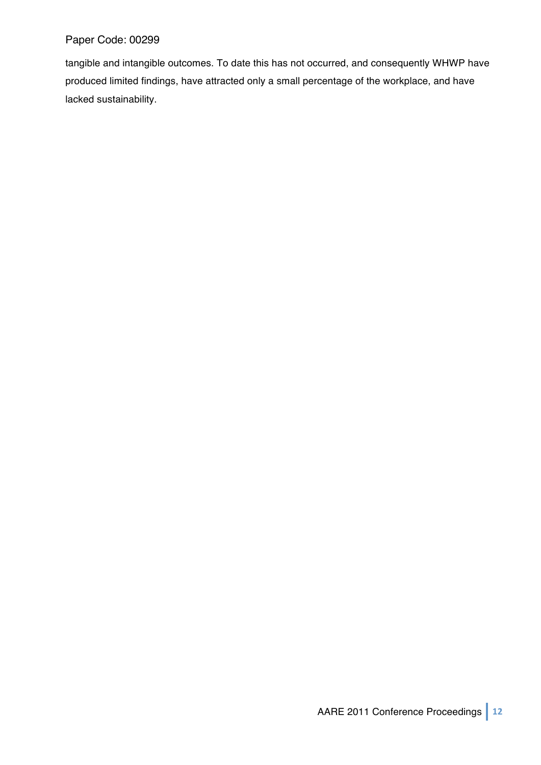tangible and intangible outcomes. To date this has not occurred, and consequently WHWP have produced limited findings, have attracted only a small percentage of the workplace, and have lacked sustainability.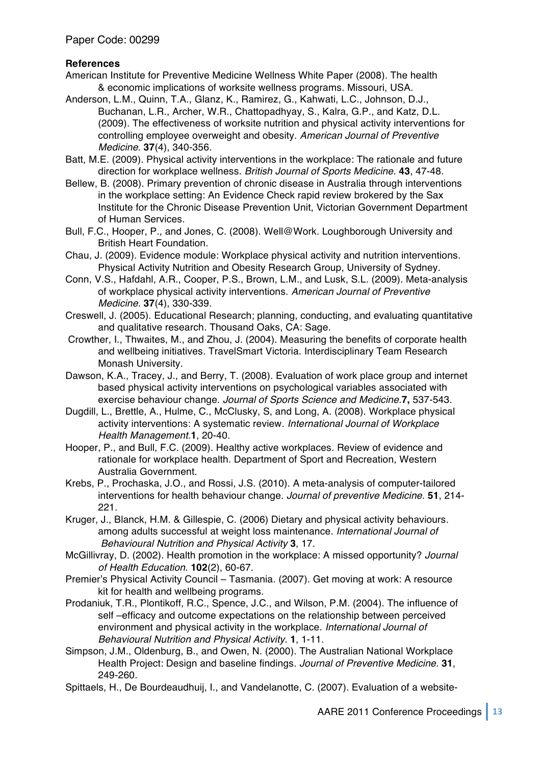# **References**

- American Institute for Preventive Medicine Wellness White Paper (2008). The health & economic implications of worksite wellness programs. Missouri, USA.
- Anderson, L.M., Quinn, T.A., Glanz, K., Ramirez, G., Kahwati, L.C., Johnson, D.J., Buchanan, L.R., Archer, W.R., Chattopadhyay, S., Kalra, G.P., and Katz, D.L. (2009). The effectiveness of worksite nutrition and physical activity interventions for controlling employee overweight and obesity. *American Journal of Preventive Medicine*. **37**(4), 340-356.
- Batt, M.E. (2009). Physical activity interventions in the workplace: The rationale and future direction for workplace wellness. *British Journal of Sports Medicine*. **43**, 47-48.
- Bellew, B. (2008). Primary prevention of chronic disease in Australia through interventions in the workplace setting: An Evidence Check rapid review brokered by the Sax Institute for the Chronic Disease Prevention Unit, Victorian Government Department of Human Services.
- Bull, F.C., Hooper, P., and Jones, C. (2008). Well@Work. Loughborough University and British Heart Foundation.
- Chau, J. (2009). Evidence module: Workplace physical activity and nutrition interventions. Physical Activity Nutrition and Obesity Research Group, University of Sydney.
- Conn, V.S., Hafdahl, A.R., Cooper, P.S., Brown, L.M., and Lusk, S.L. (2009). Meta-analysis of workplace physical activity interventions. *American Journal of Preventive Medicine*. **37**(4), 330-339.
- Creswell, J. (2005). Educational Research; planning, conducting, and evaluating quantitative and qualitative research*.* Thousand Oaks, CA: Sage.
- Crowther, I., Thwaites, M., and Zhou, J. (2004). Measuring the benefits of corporate health and wellbeing initiatives. TravelSmart Victoria. Interdisciplinary Team Research Monash University.
- Dawson, K.A., Tracey, J., and Berry, T. (2008). Evaluation of work place group and internet based physical activity interventions on psychological variables associated with exercise behaviour change. *Journal of Sports Science and Medicine.***7,** 537-543.
- Dugdill, L., Brettle, A., Hulme, C., McClusky, S, and Long, A. (2008). Workplace physical activity interventions: A systematic review. *International Journal of Workplace Health Management.***1**, 20-40.
- Hooper, P., and Bull, F.C. (2009). Healthy active workplaces. Review of evidence and rationale for workplace health. Department of Sport and Recreation, Western Australia Government.
- Krebs, P., Prochaska, J.O., and Rossi, J.S. (2010). A meta-analysis of computer-tailored interventions for health behaviour change. *Journal of preventive Medicine*. **51**, 214- 221.
- Kruger, J., Blanck, H.M. & Gillespie, C. (2006) Dietary and physical activity behaviours. among adults successful at weight loss maintenance. *International Journal of Behavioural Nutrition and Physical Activity* **3**, 17.
- McGillivray, D. (2002). Health promotion in the workplace: A missed opportunity? *Journal of Health Education*. **102**(2), 60-67.
- Premier's Physical Activity Council Tasmania. (2007). Get moving at work: A resource kit for health and wellbeing programs.
- Prodaniuk, T.R., Plontikoff, R.C., Spence, J.C., and Wilson, P.M. (2004). The influence of self –efficacy and outcome expectations on the relationship between perceived environment and physical activity in the workplace. *International Journal of Behavioural Nutrition and Physical Activity.* **1**, 1-11.
- Simpson, J.M., Oldenburg, B., and Owen, N. (2000). The Australian National Workplace Health Project: Design and baseline findings. *Journal of Preventive Medicine*. **31**, 249-260.
- Spittaels, H., De Bourdeaudhuij, I., and Vandelanotte, C. (2007). Evaluation of a website-